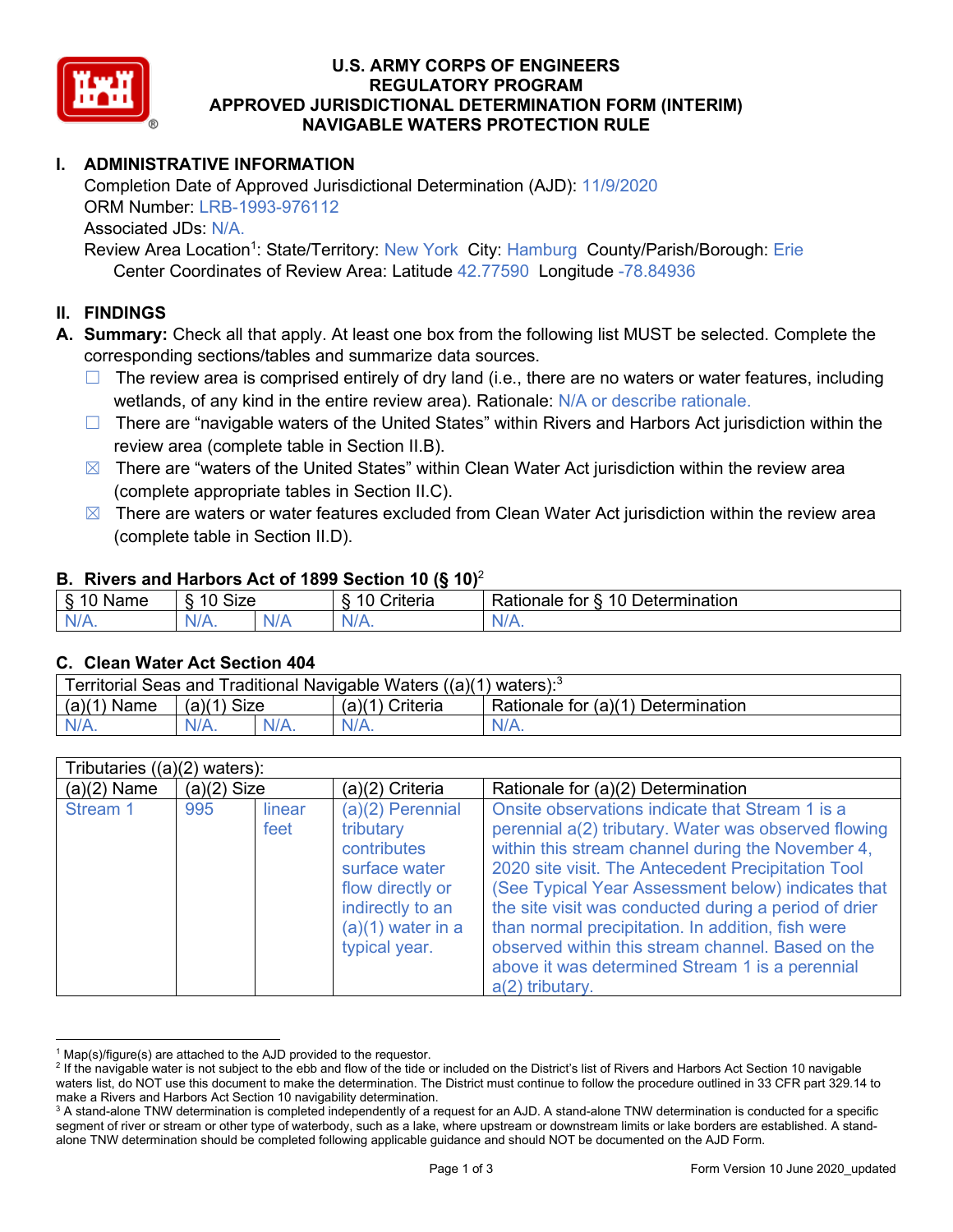

### **U.S. ARMY CORPS OF ENGINEERS REGULATORY PROGRAM APPROVED JURISDICTIONAL DETERMINATION FORM (INTERIM) NAVIGABLE WATERS PROTECTION RULE**

# **I. ADMINISTRATIVE INFORMATION**

Completion Date of Approved Jurisdictional Determination (AJD): 11/9/2020 ORM Number: LRB-1993-976112 Associated JDs: N/A.

Review Area Location<sup>1</sup>: State/Territory: New York City: Hamburg County/Parish/Borough: Erie Center Coordinates of Review Area: Latitude 42.77590 Longitude -78.84936

#### **II. FINDINGS**

**A. Summary:** Check all that apply. At least one box from the following list MUST be selected. Complete the corresponding sections/tables and summarize data sources.

- $\Box$  The review area is comprised entirely of dry land (i.e., there are no waters or water features, including wetlands, of any kind in the entire review area). Rationale: N/A or describe rationale.
- $\Box$  There are "navigable waters of the United States" within Rivers and Harbors Act jurisdiction within the review area (complete table in Section II.B).
- $\boxtimes$  There are "waters of the United States" within Clean Water Act jurisdiction within the review area (complete appropriate tables in Section II.C).
- $\boxtimes$  There are waters or water features excluded from Clean Water Act jurisdiction within the review area (complete table in Section II.D).

#### **B. Rivers and Harbors Act of 1899 Section 10 (§ 10)**<sup>2</sup>

| w        |                                                    |    |                                 |                                                |  |  |
|----------|----------------------------------------------------|----|---------------------------------|------------------------------------------------|--|--|
| Name     | Size<br>$\overline{A}$ $\overline{C}$<br>C.<br>ιч. |    | $\sim$ $\sim$<br>10<br>Criteria | <b>Determination</b><br>10<br>tor<br>≺atıonale |  |  |
| N/L<br>. | 'N/A.                                              | ND | 97 / TV                         | 'NL<br>$\mathbf{v}$                            |  |  |

#### **C. Clean Water Act Section 404**

| Territorial Seas and Traditional Navigable Waters $((a)(1)$ waters): <sup>3</sup> |                |  |                 |                                    |  |  |
|-----------------------------------------------------------------------------------|----------------|--|-----------------|------------------------------------|--|--|
| (a)(1)<br>Name                                                                    | Size<br>(a)(1) |  | (a)(1) Criteria | Rationale for (a)(1) Determination |  |  |
|                                                                                   | $N/A$ .        |  | $N/A$ .         | $N/A$ .                            |  |  |

| Tributaries $((a)(2)$ waters): |               |                |                                                                                                                                                 |                                                                                                                                                                                                                                                                                                                                                                                                                                                                                                                     |  |
|--------------------------------|---------------|----------------|-------------------------------------------------------------------------------------------------------------------------------------------------|---------------------------------------------------------------------------------------------------------------------------------------------------------------------------------------------------------------------------------------------------------------------------------------------------------------------------------------------------------------------------------------------------------------------------------------------------------------------------------------------------------------------|--|
| $(a)(2)$ Name                  | $(a)(2)$ Size |                | (a)(2) Criteria                                                                                                                                 | Rationale for (a)(2) Determination                                                                                                                                                                                                                                                                                                                                                                                                                                                                                  |  |
| Stream 1                       | 995           | linear<br>feet | $(a)(2)$ Perennial<br>tributary<br>contributes<br>surface water<br>flow directly or<br>indirectly to an<br>$(a)(1)$ water in a<br>typical year. | Onsite observations indicate that Stream 1 is a<br>perennial a(2) tributary. Water was observed flowing<br>within this stream channel during the November 4,<br>2020 site visit. The Antecedent Precipitation Tool<br>(See Typical Year Assessment below) indicates that<br>the site visit was conducted during a period of drier<br>than normal precipitation. In addition, fish were<br>observed within this stream channel. Based on the<br>above it was determined Stream 1 is a perennial<br>$a(2)$ tributary. |  |

 $1$  Map(s)/figure(s) are attached to the AJD provided to the requestor.

<sup>&</sup>lt;sup>2</sup> If the navigable water is not subject to the ebb and flow of the tide or included on the District's list of Rivers and Harbors Act Section 10 navigable waters list, do NOT use this document to make the determination. The District must continue to follow the procedure outlined in 33 CFR part 329.14 to make a Rivers and Harbors Act Section 10 navigability determination.

<sup>&</sup>lt;sup>3</sup> A stand-alone TNW determination is completed independently of a request for an AJD. A stand-alone TNW determination is conducted for a specific segment of river or stream or other type of waterbody, such as a lake, where upstream or downstream limits or lake borders are established. A standalone TNW determination should be completed following applicable guidance and should NOT be documented on the AJD Form.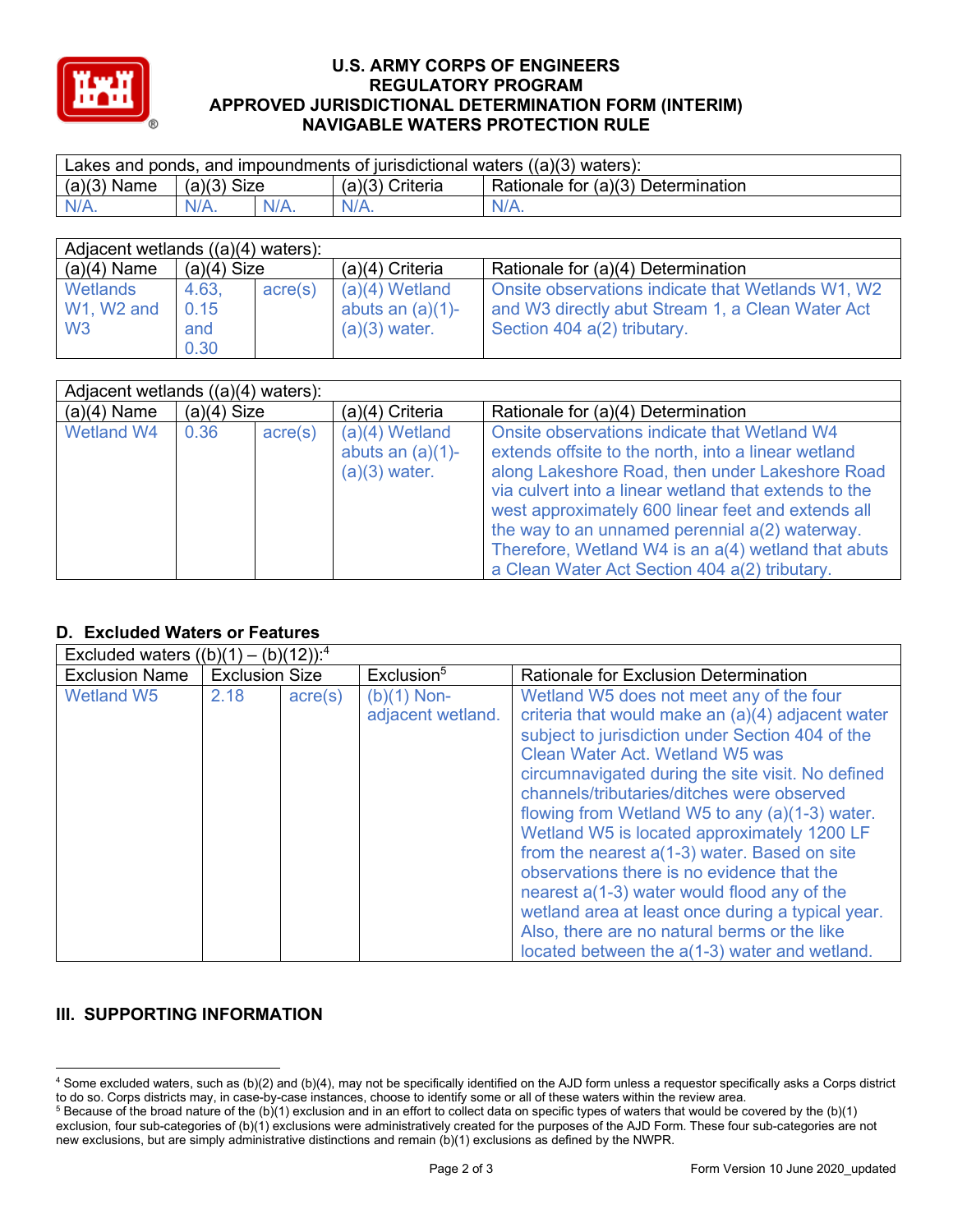

#### **U.S. ARMY CORPS OF ENGINEERS REGULATORY PROGRAM APPROVED JURISDICTIONAL DETERMINATION FORM (INTERIM) NAVIGABLE WATERS PROTECTION RULE**

| Lakes and ponds, and impoundments of jurisdictional waters $((a)(3)$ waters): |               |         |                   |                                                 |  |
|-------------------------------------------------------------------------------|---------------|---------|-------------------|-------------------------------------------------|--|
| $(a)(3)$ Name                                                                 | $(a)(3)$ Size |         | $(a)(3)$ Criteria | <sup>1</sup> Rationale for (a)(3) Determination |  |
| $N/A$ .                                                                       |               | $N/A$ . | $N/A$ .           | $N/A$ .                                         |  |

| Adjacent wetlands $((a)(4)$ waters):     |                              |                  |                                                            |                                                                                                                                      |  |  |
|------------------------------------------|------------------------------|------------------|------------------------------------------------------------|--------------------------------------------------------------------------------------------------------------------------------------|--|--|
| $(a)(4)$ Name                            | $(a)(4)$ Size                |                  | $(a)(4)$ Criteria                                          | Rationale for (a)(4) Determination                                                                                                   |  |  |
| Wetlands<br>W1, W2 and<br>W <sub>3</sub> | 4.63,<br>0.15<br>and<br>0.30 | $\text{acre}(s)$ | $(a)(4)$ Wetland<br>abuts an $(a)(1)$ -<br>$(a)(3)$ water. | Onsite observations indicate that Wetlands W1, W2<br>and W3 directly abut Stream 1, a Clean Water Act<br>Section 404 a(2) tributary. |  |  |

| Adjacent wetlands $((a)(4)$ waters): |               |                  |                                                            |                                                                                                                                                                                                                                                                                                                                                                                                                                 |  |  |
|--------------------------------------|---------------|------------------|------------------------------------------------------------|---------------------------------------------------------------------------------------------------------------------------------------------------------------------------------------------------------------------------------------------------------------------------------------------------------------------------------------------------------------------------------------------------------------------------------|--|--|
| $(a)(4)$ Name                        | $(a)(4)$ Size |                  | $(a)(4)$ Criteria                                          | Rationale for (a)(4) Determination                                                                                                                                                                                                                                                                                                                                                                                              |  |  |
| Wetland W4                           | 0.36          | $\text{acre}(s)$ | $(a)(4)$ Wetland<br>abuts an $(a)(1)$ -<br>$(a)(3)$ water. | Onsite observations indicate that Wetland W4<br>extends offsite to the north, into a linear wetland<br>along Lakeshore Road, then under Lakeshore Road<br>via culvert into a linear wetland that extends to the<br>west approximately 600 linear feet and extends all<br>the way to an unnamed perennial a(2) waterway.<br>Therefore, Wetland W4 is an a(4) wetland that abuts<br>a Clean Water Act Section 404 a(2) tributary. |  |  |

# **D. Excluded Waters or Features**

| Excluded waters $((b)(1) - (b)(12))$ : <sup>4</sup> |                       |                  |                                    |                                                                                                                                                                                                                                                                                                                                                                                                                                                                                                                                                                                                                                                                                                 |  |  |
|-----------------------------------------------------|-----------------------|------------------|------------------------------------|-------------------------------------------------------------------------------------------------------------------------------------------------------------------------------------------------------------------------------------------------------------------------------------------------------------------------------------------------------------------------------------------------------------------------------------------------------------------------------------------------------------------------------------------------------------------------------------------------------------------------------------------------------------------------------------------------|--|--|
| <b>Exclusion Name</b>                               | <b>Exclusion Size</b> |                  | Exclusion <sup>5</sup>             | <b>Rationale for Exclusion Determination</b>                                                                                                                                                                                                                                                                                                                                                                                                                                                                                                                                                                                                                                                    |  |  |
| <b>Wetland W5</b>                                   | 2.18                  | $\text{acre}(s)$ | $(b)(1)$ Non-<br>adjacent wetland. | Wetland W5 does not meet any of the four<br>criteria that would make an (a)(4) adjacent water<br>subject to jurisdiction under Section 404 of the<br>Clean Water Act. Wetland W5 was<br>circumnavigated during the site visit. No defined<br>channels/tributaries/ditches were observed<br>flowing from Wetland W5 to any (a)(1-3) water.<br>Wetland W5 is located approximately 1200 LF<br>from the nearest $a(1-3)$ water. Based on site<br>observations there is no evidence that the<br>nearest $a(1-3)$ water would flood any of the<br>wetland area at least once during a typical year.<br>Also, there are no natural berms or the like<br>located between the a(1-3) water and wetland. |  |  |

## **III. SUPPORTING INFORMATION**

<sup>4</sup> Some excluded waters, such as (b)(2) and (b)(4), may not be specifically identified on the AJD form unless a requestor specifically asks a Corps district to do so. Corps districts may, in case-by-case instances, choose to identify some or all of these waters within the review area.

 $5$  Because of the broad nature of the (b)(1) exclusion and in an effort to collect data on specific types of waters that would be covered by the (b)(1) exclusion, four sub-categories of (b)(1) exclusions were administratively created for the purposes of the AJD Form. These four sub-categories are not new exclusions, but are simply administrative distinctions and remain (b)(1) exclusions as defined by the NWPR.